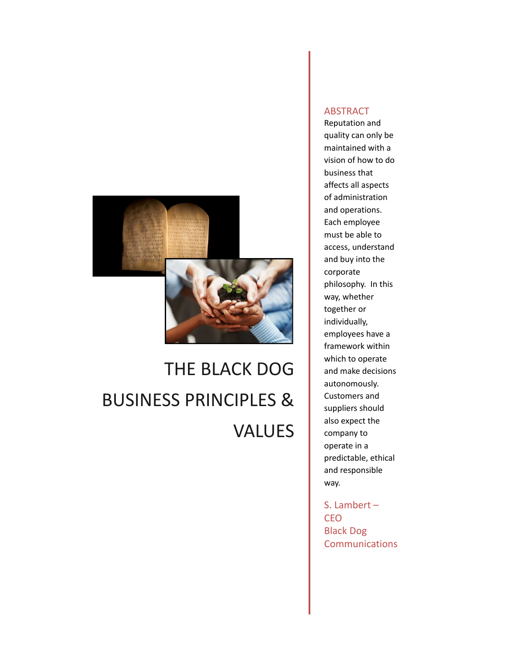

# THE BLACK DOG BUSINESS PRINCIPLES & **VALUES**

#### **ABSTRACT**

Reputation and quality can only be maintained with a vision of how to do business that affects all aspects of administration and operations. Each employee must be able to access, understand and buy into the corporate philosophy. In this way, whether together or individually, employees have a framework within which to operate and make decisions autonomously. Customers and suppliers should also expect the company to operate in a predictable, ethical and responsible way.

S. Lambert – CEO Black Dog **Communications**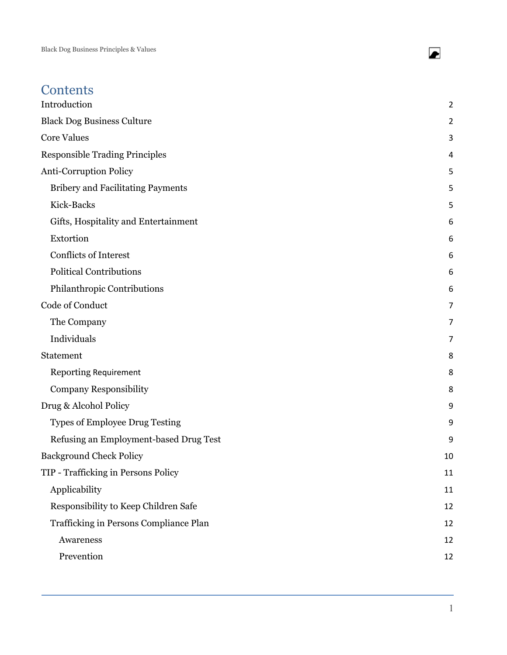## **Contents**

| Introduction                             | $\overline{2}$ |
|------------------------------------------|----------------|
| <b>Black Dog Business Culture</b>        | $\overline{2}$ |
| <b>Core Values</b>                       | 3              |
| <b>Responsible Trading Principles</b>    | 4              |
| <b>Anti-Corruption Policy</b>            | 5              |
| <b>Bribery and Facilitating Payments</b> | 5              |
| Kick-Backs                               | 5              |
| Gifts, Hospitality and Entertainment     | 6              |
| Extortion                                | 6              |
| <b>Conflicts of Interest</b>             | 6              |
| <b>Political Contributions</b>           | 6              |
| Philanthropic Contributions              | 6              |
| Code of Conduct                          | 7              |
| The Company                              | 7              |
| Individuals                              | 7              |
| <b>Statement</b>                         | 8              |
| <b>Reporting Requirement</b>             | 8              |
| <b>Company Responsibility</b>            | 8              |
| Drug & Alcohol Policy                    | 9              |
| <b>Types of Employee Drug Testing</b>    | 9              |
| Refusing an Employment-based Drug Test   | 9              |
| <b>Background Check Policy</b>           | 10             |
| TIP - Trafficking in Persons Policy      | 11             |
| Applicability                            | 11             |
| Responsibility to Keep Children Safe     | 12             |
| Trafficking in Persons Compliance Plan   | 12             |
| Awareness                                | 12             |
| Prevention                               | 12             |
|                                          |                |

 $\blacktriangleright$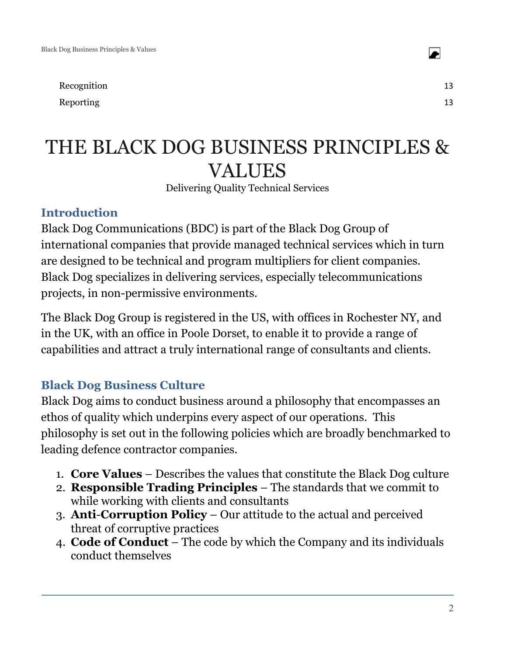[Recognition](#page-15-1) 13

[Reporting](#page-15-2) the contract of the contract of the contract of the contract of the contract of the contract of the contract of the contract of the contract of the contract of the contract of the contract of the contract of the

## THE BLACK DOG BUSINESS PRINCIPLES & VALUES

Delivering Quality Technical Services

#### <span id="page-2-0"></span>**Introduction**

Black Dog Communications (BDC) is part of the Black Dog Group of international companies that provide managed technical services which in turn are designed to be technical and program multipliers for client companies. Black Dog specializes in delivering services, especially telecommunications projects, in non-permissive environments.

The Black Dog Group is registered in the US, with offices in Rochester NY, and in the UK, with an office in Poole Dorset, to enable it to provide a range of capabilities and attract a truly international range of consultants and clients.

#### <span id="page-2-1"></span>**Black Dog Business Culture**

Black Dog aims to conduct business around a philosophy that encompasses an ethos of quality which underpins every aspect of our operations. This philosophy is set out in the following policies which are broadly benchmarked to leading defence contractor companies.

- 1. **Core Values** Describes the values that constitute the Black Dog culture
- 2. **Responsible Trading Principles** The standards that we commit to while working with clients and consultants
- 3. **Anti**-**Corruption Policy** Our attitude to the actual and perceived threat of corruptive practices
- 4. **Code of Conduct** The code by which the Company and its individuals conduct themselves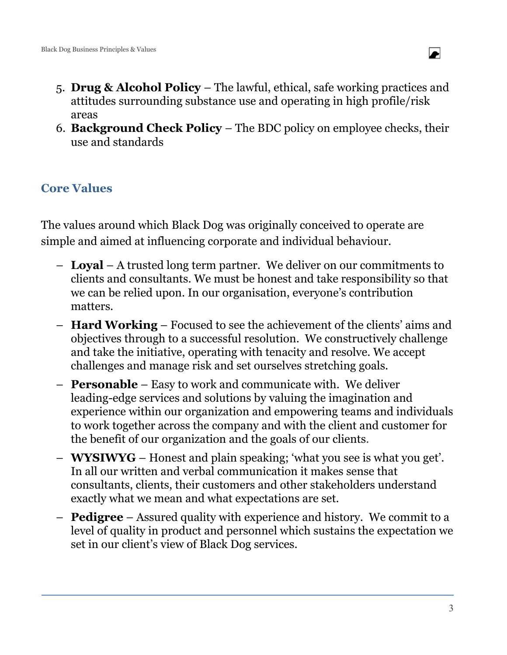- 5. **Drug & Alcohol Policy** The lawful, ethical, safe working practices and attitudes surrounding substance use and operating in high profile/risk areas
- 6. **Background Check Policy** The BDC policy on employee checks, their use and standards

#### <span id="page-3-0"></span>**Core Values**

The values around which Black Dog was originally conceived to operate are simple and aimed at influencing corporate and individual behaviour.

- **Loyal** A trusted long term partner. We deliver on our commitments to clients and consultants. We must be honest and take responsibility so that we can be relied upon. In our organisation, everyone's contribution matters.
- **Hard Working** Focused to see the achievement of the clients' aims and objectives through to a successful resolution. We constructively challenge and take the initiative, operating with tenacity and resolve. We accept challenges and manage risk and set ourselves stretching goals.
- **Personable** Easy to work and communicate with. We deliver leading-edge services and solutions by valuing the imagination and experience within our organization and empowering teams and individuals to work together across the company and with the client and customer for the benefit of our organization and the goals of our clients.
- **WYSIWYG** Honest and plain speaking; 'what you see is what you get'. In all our written and verbal communication it makes sense that consultants, clients, their customers and other stakeholders understand exactly what we mean and what expectations are set.
- **Pedigree** Assured quality with experience and history. We commit to a level of quality in product and personnel which sustains the expectation we set in our client's view of Black Dog services.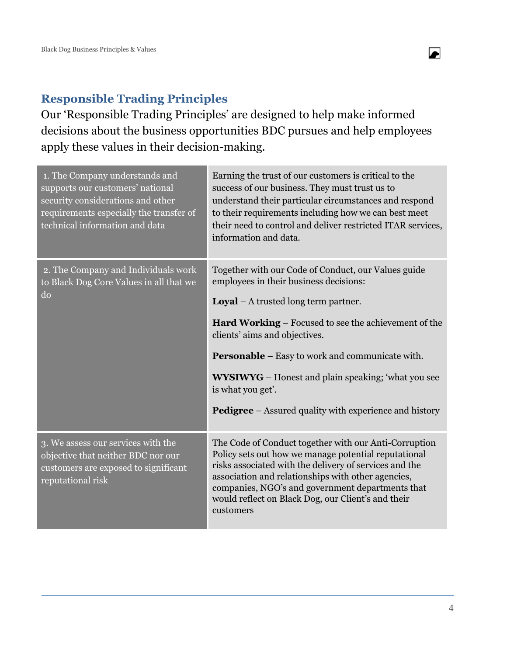#### <span id="page-4-0"></span>**Responsible Trading Principles**

Our 'Responsible Trading Principles' are designed to help make informed decisions about the business opportunities BDC pursues and help employees apply these values in their decision-making.

| 1. The Company understands and<br>supports our customers' national<br>security considerations and other<br>requirements especially the transfer of<br>technical information and data | Earning the trust of our customers is critical to the<br>success of our business. They must trust us to<br>understand their particular circumstances and respond<br>to their requirements including how we can best meet<br>their need to control and deliver restricted ITAR services,<br>information and data.                                     |
|--------------------------------------------------------------------------------------------------------------------------------------------------------------------------------------|------------------------------------------------------------------------------------------------------------------------------------------------------------------------------------------------------------------------------------------------------------------------------------------------------------------------------------------------------|
| 2. The Company and Individuals work<br>to Black Dog Core Values in all that we<br>do                                                                                                 | Together with our Code of Conduct, our Values guide<br>employees in their business decisions:<br>$Logal – A trusted long term partner.$                                                                                                                                                                                                              |
|                                                                                                                                                                                      | <b>Hard Working – Focused to see the achievement of the</b><br>clients' aims and objectives.                                                                                                                                                                                                                                                         |
|                                                                                                                                                                                      | <b>Personable</b> – Easy to work and communicate with.                                                                                                                                                                                                                                                                                               |
|                                                                                                                                                                                      | <b>WYSIWYG</b> – Honest and plain speaking; 'what you see<br>is what you get'.                                                                                                                                                                                                                                                                       |
|                                                                                                                                                                                      | <b>Pedigree</b> – Assured quality with experience and history                                                                                                                                                                                                                                                                                        |
| 3. We assess our services with the<br>objective that neither BDC nor our<br>customers are exposed to significant<br>reputational risk                                                | The Code of Conduct together with our Anti-Corruption<br>Policy sets out how we manage potential reputational<br>risks associated with the delivery of services and the<br>association and relationships with other agencies,<br>companies, NGO's and government departments that<br>would reflect on Black Dog, our Client's and their<br>customers |

 $\overline{\phantom{a}}$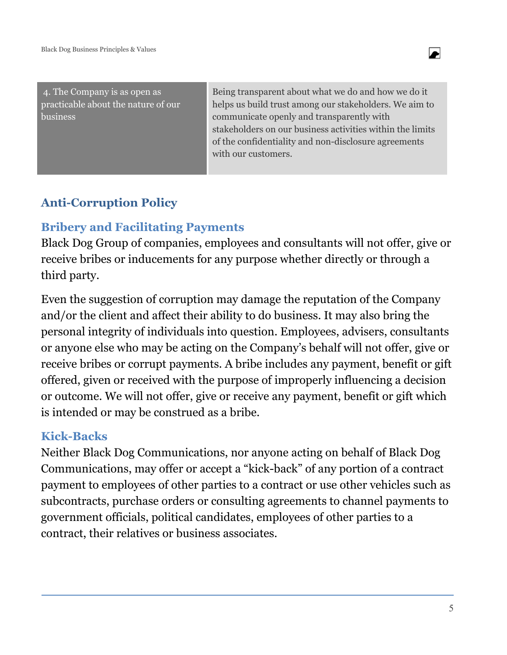4. The Company is as open as practicable about the nature of our business

Being transparent about what we do and how we do it helps us build trust among our stakeholders. We aim to communicate openly and transparently with stakeholders on our business activities within the limits of the confidentiality and non-disclosure agreements with our customers.

#### <span id="page-5-0"></span>**Anti-Corruption Policy**

#### <span id="page-5-1"></span>**Bribery and Facilitating Payments**

Black Dog Group of companies, employees and consultants will not offer, give or receive bribes or inducements for any purpose whether directly or through a third party.

Even the suggestion of corruption may damage the reputation of the Company and/or the client and affect their ability to do business. It may also bring the personal integrity of individuals into question. Employees, advisers, consultants or anyone else who may be acting on the Company's behalf will not offer, give or receive bribes or corrupt payments. A bribe includes any payment, benefit or gift offered, given or received with the purpose of improperly influencing a decision or outcome. We will not offer, give or receive any payment, benefit or gift which is intended or may be construed as a bribe.

#### <span id="page-5-2"></span>**Kick-Backs**

Neither Black Dog Communications, nor anyone acting on behalf of Black Dog Communications, may offer or accept a "kick-back" of any portion of a contract payment to employees of other parties to a contract or use other vehicles such as subcontracts, purchase orders or consulting agreements to channel payments to government officials, political candidates, employees of other parties to a contract, their relatives or business associates.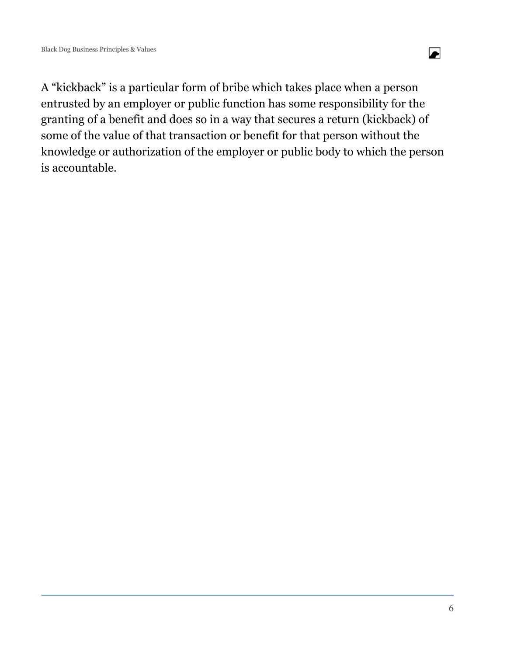A "kickback" is a particular form of bribe which takes place when a person entrusted by an employer or public function has some responsibility for the granting of a benefit and does so in a way that secures a return (kickback) of some of the value of that transaction or benefit for that person without the knowledge or authorization of the employer or public body to which the person is accountable.

 $\blacktriangleright$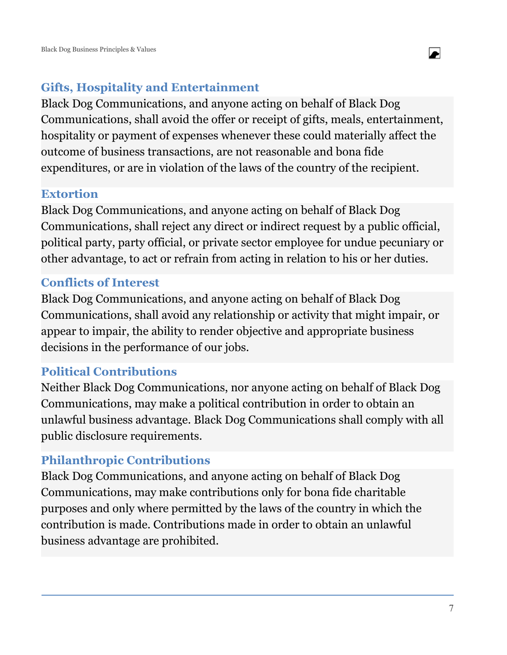#### <span id="page-7-0"></span>**Gifts, Hospitality and Entertainment**

Black Dog Communications, and anyone acting on behalf of Black Dog Communications, shall avoid the offer or receipt of gifts, meals, entertainment, hospitality or payment of expenses whenever these could materially affect the outcome of business transactions, are not reasonable and bona fide expenditures, or are in violation of the laws of the country of the recipient.

#### <span id="page-7-1"></span>**Extortion**

Black Dog Communications, and anyone acting on behalf of Black Dog Communications, shall reject any direct or indirect request by a public official, political party, party official, or private sector employee for undue pecuniary or other advantage, to act or refrain from acting in relation to his or her duties.

#### <span id="page-7-2"></span>**Conflicts of Interest**

Black Dog Communications, and anyone acting on behalf of Black Dog Communications, shall avoid any relationship or activity that might impair, or appear to impair, the ability to render objective and appropriate business decisions in the performance of our jobs.

#### <span id="page-7-3"></span>**Political Contributions**

Neither Black Dog Communications, nor anyone acting on behalf of Black Dog Communications, may make a political contribution in order to obtain an unlawful business advantage. Black Dog Communications shall comply with all public disclosure requirements.

#### <span id="page-7-4"></span>**Philanthropic Contributions**

Black Dog Communications, and anyone acting on behalf of Black Dog Communications, may make contributions only for bona fide charitable purposes and only where permitted by the laws of the country in which the contribution is made. Contributions made in order to obtain an unlawful business advantage are prohibited.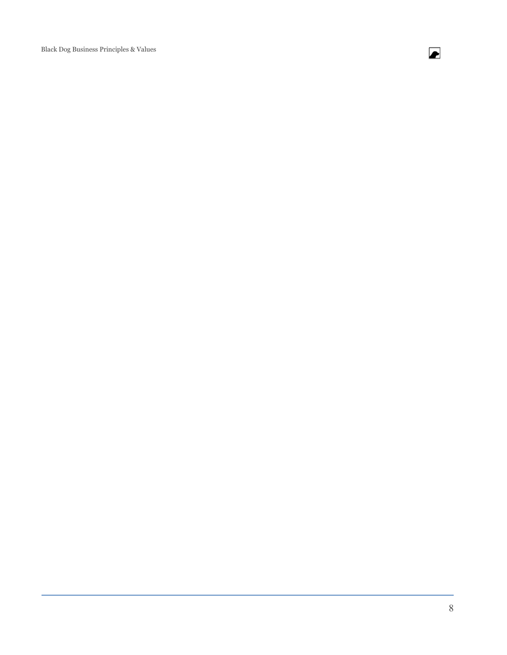Black Dog Business Principles & Values

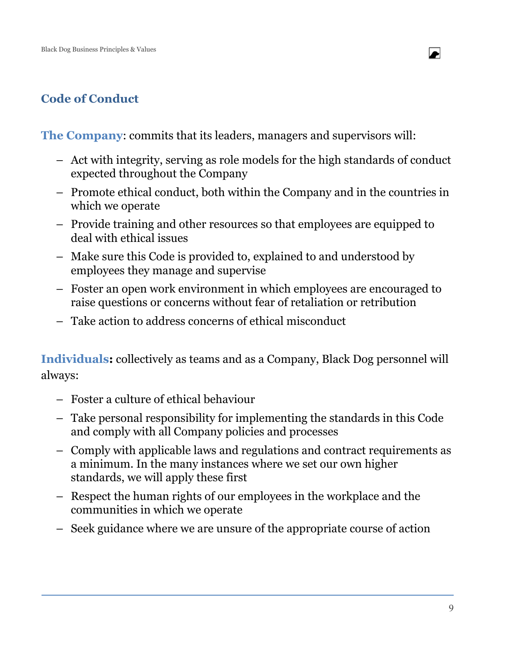#### <span id="page-9-0"></span>**Code of Conduct**

#### <span id="page-9-1"></span>**The Company**: commits that its leaders, managers and supervisors will:

- Act with integrity, serving as role models for the high standards of conduct expected throughout the Company
- Promote ethical conduct, both within the Company and in the countries in which we operate
- Provide training and other resources so that employees are equipped to deal with ethical issues
- Make sure this Code is provided to, explained to and understood by employees they manage and supervise
- Foster an open work environment in which employees are encouraged to raise questions or concerns without fear of retaliation or retribution
- Take action to address concerns of ethical misconduct

<span id="page-9-2"></span>**Individuals:** collectively as teams and as a Company, Black Dog personnel will always:

- Foster a culture of ethical behaviour
- Take personal responsibility for implementing the standards in this Code and comply with all Company policies and processes
- Comply with applicable laws and regulations and contract requirements as a minimum. In the many instances where we set our own higher standards, we will apply these first
- Respect the human rights of our employees in the workplace and the communities in which we operate
- Seek guidance where we are unsure of the appropriate course of action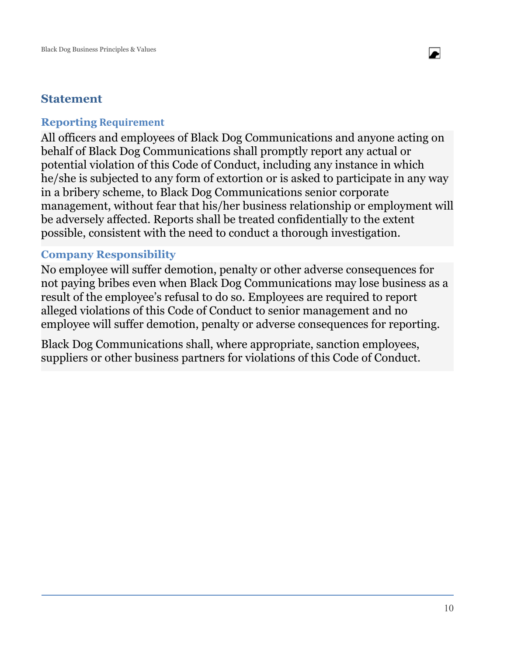#### <span id="page-10-0"></span>**Statement**

#### <span id="page-10-1"></span>**Reporting Requirement**

All officers and employees of Black Dog Communications and anyone acting on behalf of Black Dog Communications shall promptly report any actual or potential violation of this Code of Conduct, including any instance in which he/she is subjected to any form of extortion or is asked to participate in any way in a bribery scheme, to Black Dog Communications senior corporate management, without fear that his/her business relationship or employment will be adversely affected. Reports shall be treated confidentially to the extent possible, consistent with the need to conduct a thorough investigation.

#### <span id="page-10-2"></span>**Company Responsibility**

No employee will suffer demotion, penalty or other adverse consequences for not paying bribes even when Black Dog Communications may lose business as a result of the employee's refusal to do so. Employees are required to report alleged violations of this Code of Conduct to senior management and no employee will suffer demotion, penalty or adverse consequences for reporting.

Black Dog Communications shall, where appropriate, sanction employees, suppliers or other business partners for violations of this Code of Conduct.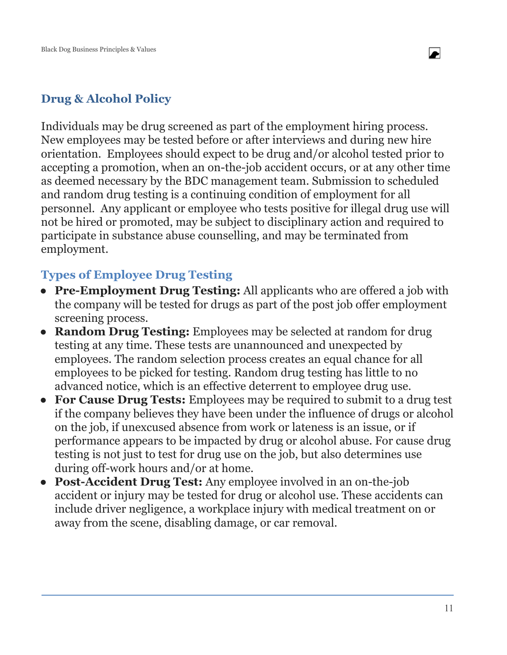#### <span id="page-11-0"></span>**Drug & Alcohol Policy**

Individuals may be drug [screened](https://www.thebalance.com/marijuana-and-employment-drug-testing-4160426) as part of the employment hiring process. New employees may be tested before or after interviews and during new hire orientation. Employees should expect to be drug and/or alcohol tested prior to accepting a promotion, when an on-the-job accident occurs, or at any [other](https://www.thebalancecareers.com/when-do-employers-drug-test-2060408) time as deemed necessary by the BDC management team. Submission to scheduled and random drug testing is a continuing condition of employment for all personnel. Any applicant or employee who tests positive for illegal drug use will not be hired or promoted, may be subject to disciplinary action and required to participate in substance abuse counselling, and may be terminated from employment.

#### <span id="page-11-1"></span>**Types of Employee Drug Testing**

- **Pre-Employment Drug Testing:** All applicants who are offered a job with the company will be [tested](https://www.thebalancecareers.com/drug-and-alcohol-tests-for-employment-2060409) for drugs as part of the post job offer employment screening process.
- **Random Drug Testing:** Employees may be selected at random for drug testing at any time. These tests are unannounced and unexpected by employees. The random selection process creates an equal chance for all employees to be picked for testing. Random drug testing has little to no advanced notice, which is an effective deterrent to employee drug use.
- **For Cause Drug Tests:** Employees may be required to submit to a drug test if the company believes they have been under the influence of drugs or alcohol on the job, if unexcused absence from work or lateness is an issue, or if performance appears to be impacted by drug or alcohol abuse. For cause drug testing is not just to test for drug use on the job, but also determines use during off-work hours and/or at home.
- **Post-Accident Drug Test:** Any employee involved in an on-the-job accident or injury may be tested for drug or alcohol use. These accidents can include driver negligence, a workplace injury with medical treatment on or away from the scene, disabling damage, or car removal.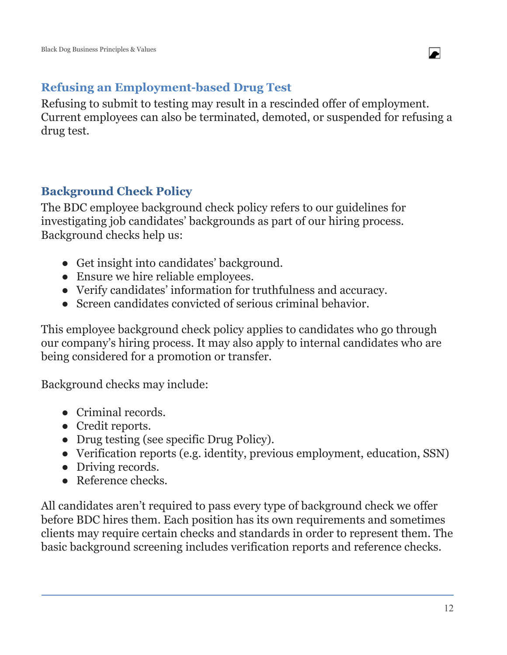#### <span id="page-12-0"></span>**Refusing an Employment-based Drug Test**

Refusing to submit to testing may result in a rescinded offer of employment. Current employees can also be terminated, demoted, or suspended for refusing a drug test.

#### <span id="page-12-1"></span>**Background Check Policy**

The BDC employee background check policy refers to our guidelines for investigating job candidates' backgrounds as part of our hiring process. Background checks help us:

- Get insight into candidates' background.
- Ensure we hire reliable employees.
- Verify candidates' information for truthfulness and accuracy.
- Screen candidates convicted of serious criminal behavior.

This employee background check policy applies to candidates who go through our company's hiring process. It may also apply to internal candidates who are being considered for a [promotion](https://resources.workable.com/promotion-policy) or transfer.

Background checks may include:

- Criminal records.
- Credit reports.
- Drug testing (see specific Drug Policy).
- Verification reports (e.g. identity, previous employment, education, SSN)
- Driving records.
- Reference checks.

All candidates aren't required to pass every type of background check we offer before BDC hires them. Each position has its own requirements and sometimes clients may require certain checks and standards in order to represent them. The basic background screening includes verification reports and reference checks.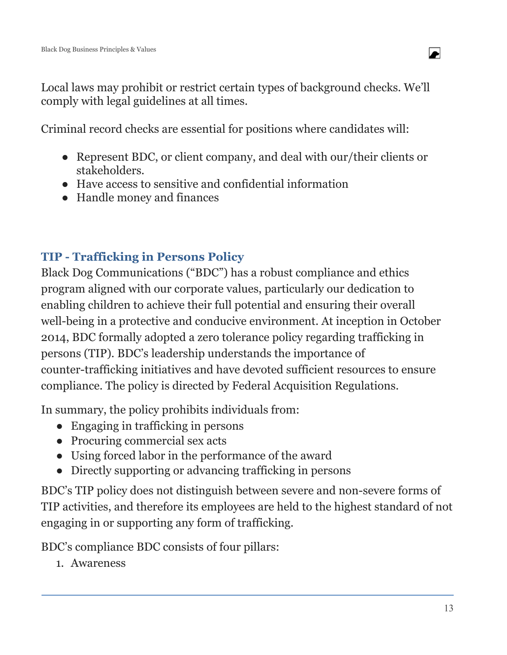Local laws may prohibit or restrict certain types of background checks. We'll comply with legal guidelines at all times.

Criminal record checks are essential for positions where candidates will:

- Represent BDC, or client company, and deal with our/their clients or stakeholders.
- Have access to sensitive and confidential information
- Handle money and finances

#### <span id="page-13-0"></span>**TIP - Trafficking in Persons Policy**

Black Dog Communications ("BDC") has a robust compliance and ethics program aligned with our corporate values, particularly our dedication to enabling children to achieve their full potential and ensuring their overall well-being in a protective and conducive environment. At inception in October 2014, BDC formally adopted a zero tolerance policy regarding trafficking in persons (TIP). BDC's leadership understands the importance of counter-trafficking initiatives and have devoted sufficient resources to ensure compliance. The policy is directed by Federal Acquisition Regulations.

In summary, the policy prohibits individuals from:

- Engaging in trafficking in persons
- Procuring commercial sex acts
- Using forced labor in the performance of the award
- Directly supporting or advancing trafficking in persons

BDC's TIP policy does not distinguish between severe and non-severe forms of TIP activities, and therefore its employees are held to the highest standard of not engaging in or supporting any form of trafficking.

BDC's compliance BDC consists of four pillars:

1. Awareness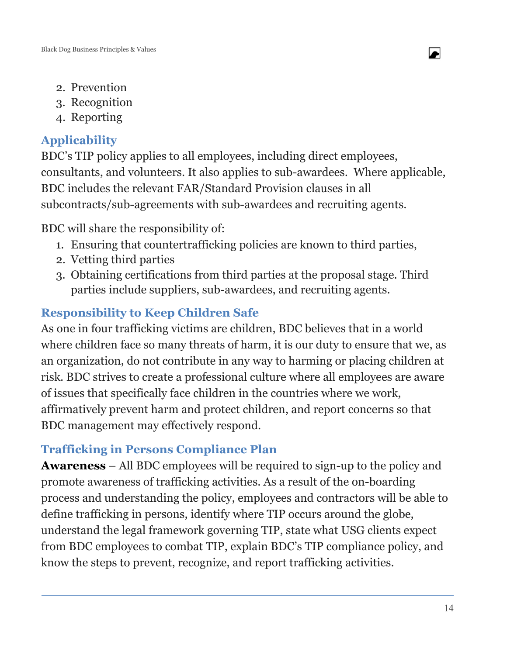- 2. Prevention
- 3. Recognition
- 4. Reporting

## <span id="page-14-0"></span>**Applicability**

BDC's TIP policy applies to all employees, including direct employees, consultants, and volunteers. It also applies to sub-awardees. Where applicable, BDC includes the relevant FAR/Standard Provision clauses in all subcontracts/sub-agreements with sub-awardees and recruiting agents.

BDC will share the responsibility of:

- 1. Ensuring that countertrafficking policies are known to third parties,
- 2. Vetting third parties
- 3. Obtaining certifications from third parties at the proposal stage. Third parties include suppliers, sub-awardees, and recruiting agents.

#### <span id="page-14-1"></span>**Responsibility to Keep Children Safe**

As one in four trafficking victims are children, BDC believes that in a world where children face so many threats of harm, it is our duty to ensure that we, as an organization, do not contribute in any way to harming or placing children at risk. BDC strives to create a professional culture where all employees are aware of issues that specifically face children in the countries where we work, affirmatively prevent harm and protect children, and report concerns so that BDC management may effectively respond.

## <span id="page-14-2"></span>**Trafficking in Persons Compliance Plan**

<span id="page-14-3"></span>**Awareness** – All BDC employees will be required to sign-up to the policy and promote awareness of trafficking activities. As a result of the on-boarding process and understanding the policy, employees and contractors will be able to define trafficking in persons, identify where TIP occurs around the globe, understand the legal framework governing TIP, state what USG clients expect from BDC employees to combat TIP, explain BDC's TIP compliance policy, and know the steps to prevent, recognize, and report trafficking activities.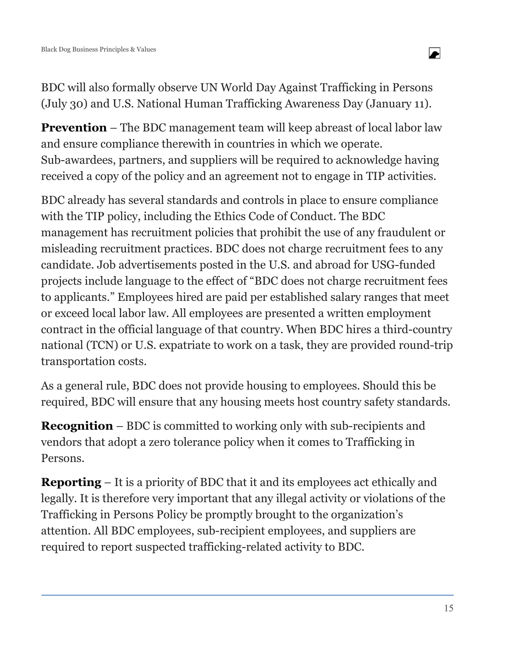BDC will also formally observe UN World Day Against Trafficking in Persons (July 30) and U.S. National Human Trafficking Awareness Day (January 11).

**Prevention** – The BDC management team will keep abreast of local labor law and ensure compliance therewith in countries in which we operate. Sub-awardees, partners, and suppliers will be required to acknowledge having received a copy of the policy and an agreement not to engage in TIP activities.

<span id="page-15-0"></span>BDC already has several standards and controls in place to ensure compliance with the TIP policy, including the Ethics Code of Conduct. The BDC management has recruitment policies that prohibit the use of any fraudulent or misleading recruitment practices. BDC does not charge recruitment fees to any candidate. Job advertisements posted in the U.S. and abroad for USG-funded projects include language to the effect of "BDC does not charge recruitment fees to applicants." Employees hired are paid per established salary ranges that meet or exceed local labor law. All employees are presented a written employment contract in the official language of that country. When BDC hires a third-country national (TCN) or U.S. expatriate to work on a task, they are provided round-trip transportation costs.

As a general rule, BDC does not provide housing to employees. Should this be required, BDC will ensure that any housing meets host country safety standards.

**Recognition** – BDC is committed to working only with sub-recipients and vendors that adopt a zero tolerance policy when it comes to Trafficking in Persons.

<span id="page-15-2"></span><span id="page-15-1"></span>**Reporting** – It is a priority of BDC that it and its employees act ethically and legally. It is therefore very important that any illegal activity or violations of the Trafficking in Persons Policy be promptly brought to the organization's attention. All BDC employees, sub-recipient employees, and suppliers are required to report suspected trafficking-related activity to BDC.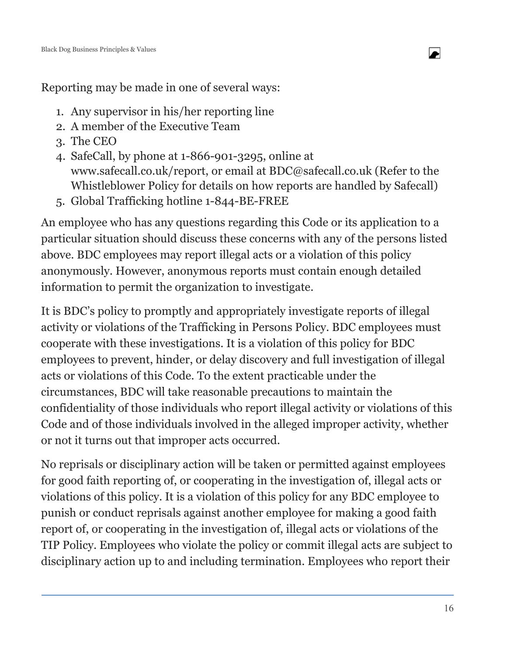Reporting may be made in one of several ways:

- 1. Any supervisor in his/her reporting line
- 2. A member of the Executive Team
- 3. The CEO
- 4. SafeCall, by phone at 1-866-901-3295, online at www.safecall.co.uk/report, or email at [BDC@safecall.co.uk](mailto:plan@safecall.co.uk1) (Refer to the Whistleblower Policy for details on how reports are handled by Safecall)
- 5. Global Trafficking hotline 1-844-BE-FREE

An employee who has any questions regarding this Code or its application to a particular situation should discuss these concerns with any of the persons listed above. BDC employees may report illegal acts or a violation of this policy anonymously. However, anonymous reports must contain enough detailed information to permit the organization to investigate.

It is BDC's policy to promptly and appropriately investigate reports of illegal activity or violations of the Trafficking in Persons Policy. BDC employees must cooperate with these investigations. It is a violation of this policy for BDC employees to prevent, hinder, or delay discovery and full investigation of illegal acts or violations of this Code. To the extent practicable under the circumstances, BDC will take reasonable precautions to maintain the confidentiality of those individuals who report illegal activity or violations of this Code and of those individuals involved in the alleged improper activity, whether or not it turns out that improper acts occurred.

No reprisals or disciplinary action will be taken or permitted against employees for good faith reporting of, or cooperating in the investigation of, illegal acts or violations of this policy. It is a violation of this policy for any BDC employee to punish or conduct reprisals against another employee for making a good faith report of, or cooperating in the investigation of, illegal acts or violations of the TIP Policy. Employees who violate the policy or commit illegal acts are subject to disciplinary action up to and including termination. Employees who report their